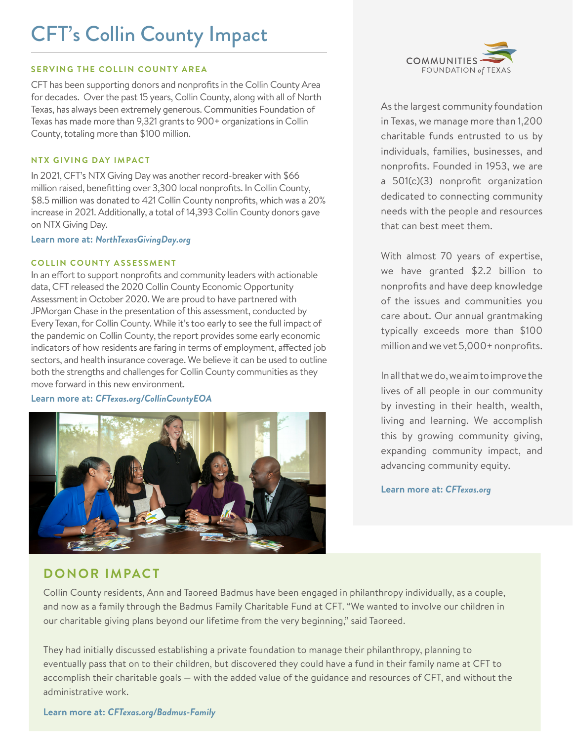# CFT's Collin County Impact

#### **SERVING THE COLLIN COUNTY AREA**

CFT has been supporting donors and nonprofits in the Collin County Area for decades. Over the past 15 years, Collin County, along with all of North Texas, has always been extremely generous. Communities Foundation of Texas has made more than 9,321 grants to 900+ organizations in Collin County, totaling more than \$100 million.

### **NTX GIVING DAY IMPACT**

In 2021, CFT's NTX Giving Day was another record-breaker with \$66 million raised, benefitting over 3,300 local nonprofits. In Collin County, \$8.5 million was donated to 421 Collin County nonprofits, which was a 20% increase in 2021. Additionally, a total of 14,393 Collin County donors gave on NTX Giving Day.

**Learn more at:** *NorthTexasGivingDay.org*

### **COLLIN COUNTY ASSESSMENT**

In an effort to support nonprofits and community leaders with actionable data, CFT released the 2020 Collin County Economic Opportunity Assessment in October 2020. We are proud to have partnered with JPMorgan Chase in the presentation of this assessment, conducted by Every Texan, for Collin County. While it's too early to see the full impact of the pandemic on Collin County, the report provides some early economic indicators of how residents are faring in terms of employment, affected job sectors, and health insurance coverage. We believe it can be used to outline both the strengths and challenges for Collin County communities as they move forward in this new environment.

#### **Learn more at:** *CFTexas.org/CollinCountyEOA*





As the largest community foundation in Texas, we manage more than 1,200 charitable funds entrusted to us by individuals, families, businesses, and nonprofits. Founded in 1953, we are a 501(c)(3) nonprofit organization dedicated to connecting community needs with the people and resources that can best meet them.

With almost 70 years of expertise, we have granted \$2.2 billion to nonprofits and have deep knowledge of the issues and communities you care about. Our annual grantmaking typically exceeds more than \$100 million and we vet 5,000+ nonprofits.

In all that we do, we aim to improve the lives of all people in our community by investing in their health, wealth, living and learning. We accomplish this by growing community giving, expanding community impact, and advancing community equity.

**Learn more at:** *CFTexas.org*

## **DONOR IMPACT**

Collin County residents, Ann and Taoreed Badmus have been engaged in philanthropy individually, as a couple, and now as a family through the Badmus Family Charitable Fund at CFT. "We wanted to involve our children in our charitable giving plans beyond our lifetime from the very beginning," said Taoreed.

They had initially discussed establishing a private foundation to manage their philanthropy, planning to eventually pass that on to their children, but discovered they could have a fund in their family name at CFT to accomplish their charitable goals — with the added value of the guidance and resources of CFT, and without the administrative work.

**Learn more at:** *CFTexas.org/Badmus-Family*